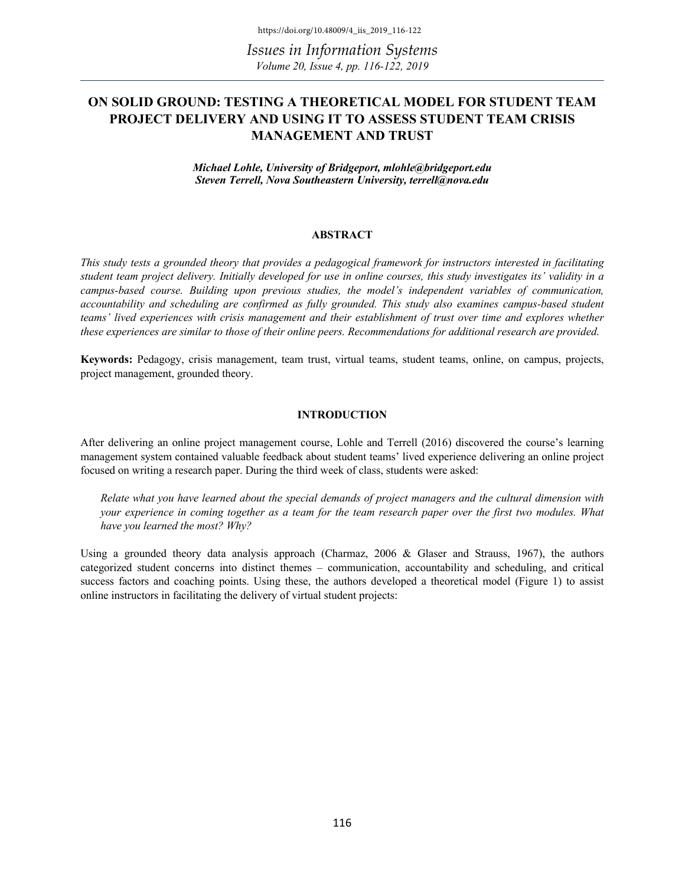*Issues in Information Systems Volume 20, Issue 4, pp. 116-122, 2019*

## **ON SOLID GROUND: TESTING A THEORETICAL MODEL FOR STUDENT TEAM PROJECT DELIVERY AND USING IT TO ASSESS STUDENT TEAM CRISIS MANAGEMENT AND TRUST**

*Michael Lohle, University of Bridgeport, mlohle@bridgeport.edu Steven Terrell, Nova Southeastern University, terrell@nova.edu*

#### **ABSTRACT**

*This study tests a grounded theory that provides a pedagogical framework for instructors interested in facilitating student team project delivery. Initially developed for use in online courses, this study investigates its' validity in a campus-based course. Building upon previous studies, the model's independent variables of communication, accountability and scheduling are confirmed as fully grounded. This study also examines campus-based student teams' lived experiences with crisis management and their establishment of trust over time and explores whether these experiences are similar to those of their online peers. Recommendations for additional research are provided.* 

**Keywords:** Pedagogy, crisis management, team trust, virtual teams, student teams, online, on campus, projects, project management, grounded theory.

#### **INTRODUCTION**

After delivering an online project management course, Lohle and Terrell (2016) discovered the course's learning management system contained valuable feedback about student teams' lived experience delivering an online project focused on writing a research paper. During the third week of class, students were asked:

*Relate what you have learned about the special demands of project managers and the cultural dimension with your experience in coming together as a team for the team research paper over the first two modules. What have you learned the most? Why?* 

Using a grounded theory data analysis approach (Charmaz, 2006 & Glaser and Strauss, 1967), the authors categorized student concerns into distinct themes – communication, accountability and scheduling, and critical success factors and coaching points. Using these, the authors developed a theoretical model (Figure 1) to assist online instructors in facilitating the delivery of virtual student projects: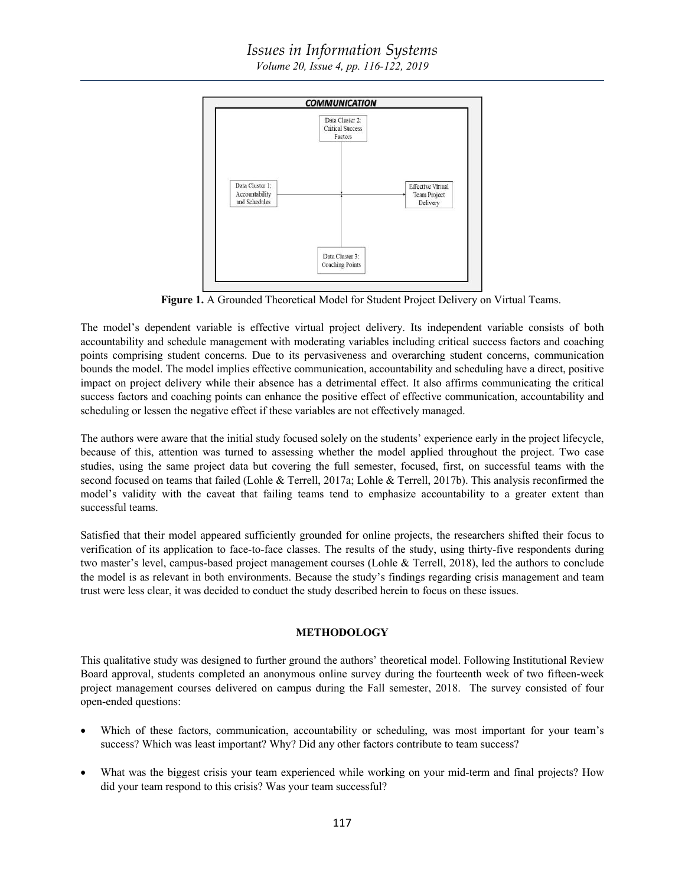# *Issues in Information Systems*

*Volume 20, Issue 4, pp. 116-122, 2019*



**Figure 1.** A Grounded Theoretical Model for Student Project Delivery on Virtual Teams.

The model's dependent variable is effective virtual project delivery. Its independent variable consists of both accountability and schedule management with moderating variables including critical success factors and coaching points comprising student concerns. Due to its pervasiveness and overarching student concerns, communication bounds the model. The model implies effective communication, accountability and scheduling have a direct, positive impact on project delivery while their absence has a detrimental effect. It also affirms communicating the critical success factors and coaching points can enhance the positive effect of effective communication, accountability and scheduling or lessen the negative effect if these variables are not effectively managed.

The authors were aware that the initial study focused solely on the students' experience early in the project lifecycle, because of this, attention was turned to assessing whether the model applied throughout the project. Two case studies, using the same project data but covering the full semester, focused, first, on successful teams with the second focused on teams that failed (Lohle & Terrell, 2017a; Lohle & Terrell, 2017b). This analysis reconfirmed the model's validity with the caveat that failing teams tend to emphasize accountability to a greater extent than successful teams.

Satisfied that their model appeared sufficiently grounded for online projects, the researchers shifted their focus to verification of its application to face-to-face classes. The results of the study, using thirty-five respondents during two master's level, campus-based project management courses (Lohle & Terrell, 2018), led the authors to conclude the model is as relevant in both environments. Because the study's findings regarding crisis management and team trust were less clear, it was decided to conduct the study described herein to focus on these issues.

#### **METHODOLOGY**

This qualitative study was designed to further ground the authors' theoretical model. Following Institutional Review Board approval, students completed an anonymous online survey during the fourteenth week of two fifteen-week project management courses delivered on campus during the Fall semester, 2018. The survey consisted of four open-ended questions:

- Which of these factors, communication, accountability or scheduling, was most important for your team's success? Which was least important? Why? Did any other factors contribute to team success?
- What was the biggest crisis your team experienced while working on your mid-term and final projects? How did your team respond to this crisis? Was your team successful?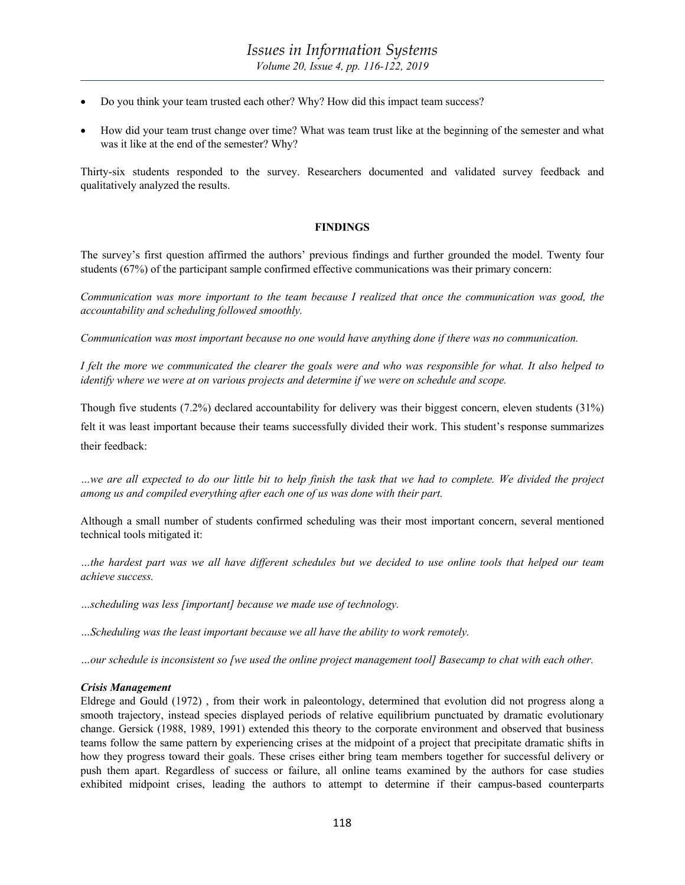- Do you think your team trusted each other? Why? How did this impact team success?
- How did your team trust change over time? What was team trust like at the beginning of the semester and what was it like at the end of the semester? Why?

Thirty-six students responded to the survey. Researchers documented and validated survey feedback and qualitatively analyzed the results.

#### **FINDINGS**

The survey's first question affirmed the authors' previous findings and further grounded the model. Twenty four students (67%) of the participant sample confirmed effective communications was their primary concern:

*Communication was more important to the team because I realized that once the communication was good, the accountability and scheduling followed smoothly.*

*Communication was most important because no one would have anything done if there was no communication.*

*I felt the more we communicated the clearer the goals were and who was responsible for what. It also helped to identify where we were at on various projects and determine if we were on schedule and scope.* 

Though five students (7.2%) declared accountability for delivery was their biggest concern, eleven students (31%) felt it was least important because their teams successfully divided their work. This student's response summarizes their feedback:

*…we are all expected to do our little bit to help finish the task that we had to complete. We divided the project among us and compiled everything after each one of us was done with their part.* 

Although a small number of students confirmed scheduling was their most important concern, several mentioned technical tools mitigated it:

*…the hardest part was we all have different schedules but we decided to use online tools that helped our team achieve success.*

*…scheduling was less [important] because we made use of technology.*

*…Scheduling was the least important because we all have the ability to work remotely.* 

*…our schedule is inconsistent so [we used the online project management tool] Basecamp to chat with each other.*

#### *Crisis Management*

Eldrege and Gould (1972) , from their work in paleontology, determined that evolution did not progress along a smooth trajectory, instead species displayed periods of relative equilibrium punctuated by dramatic evolutionary change. Gersick (1988, 1989, 1991) extended this theory to the corporate environment and observed that business teams follow the same pattern by experiencing crises at the midpoint of a project that precipitate dramatic shifts in how they progress toward their goals. These crises either bring team members together for successful delivery or push them apart. Regardless of success or failure, all online teams examined by the authors for case studies exhibited midpoint crises, leading the authors to attempt to determine if their campus-based counterparts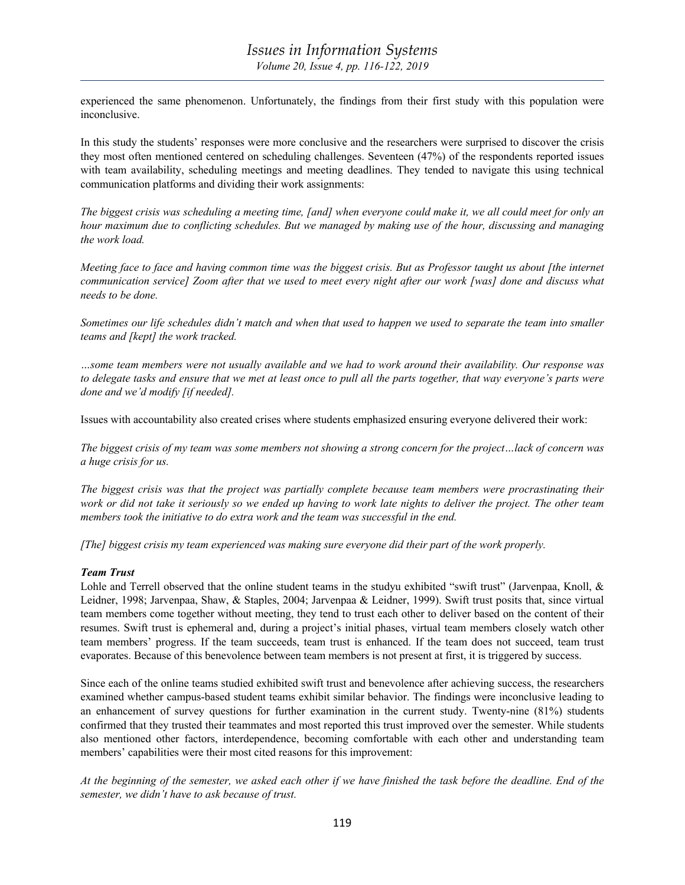experienced the same phenomenon. Unfortunately, the findings from their first study with this population were inconclusive.

In this study the students' responses were more conclusive and the researchers were surprised to discover the crisis they most often mentioned centered on scheduling challenges. Seventeen (47%) of the respondents reported issues with team availability, scheduling meetings and meeting deadlines. They tended to navigate this using technical communication platforms and dividing their work assignments:

*The biggest crisis was scheduling a meeting time, [and] when everyone could make it, we all could meet for only an hour maximum due to conflicting schedules. But we managed by making use of the hour, discussing and managing the work load.* 

*Meeting face to face and having common time was the biggest crisis. But as Professor taught us about [the internet communication service] Zoom after that we used to meet every night after our work [was] done and discuss what needs to be done.*

*Sometimes our life schedules didn't match and when that used to happen we used to separate the team into smaller teams and [kept] the work tracked.*

*…some team members were not usually available and we had to work around their availability. Our response was to delegate tasks and ensure that we met at least once to pull all the parts together, that way everyone's parts were done and we'd modify [if needed].*

Issues with accountability also created crises where students emphasized ensuring everyone delivered their work:

*The biggest crisis of my team was some members not showing a strong concern for the project…lack of concern was a huge crisis for us.* 

*The biggest crisis was that the project was partially complete because team members were procrastinating their work or did not take it seriously so we ended up having to work late nights to deliver the project. The other team members took the initiative to do extra work and the team was successful in the end.* 

*[The] biggest crisis my team experienced was making sure everyone did their part of the work properly.*

#### *Team Trust*

Lohle and Terrell observed that the online student teams in the studyu exhibited "swift trust" (Jarvenpaa, Knoll, & Leidner, 1998; Jarvenpaa, Shaw, & Staples, 2004; Jarvenpaa & Leidner, 1999). Swift trust posits that, since virtual team members come together without meeting, they tend to trust each other to deliver based on the content of their resumes. Swift trust is ephemeral and, during a project's initial phases, virtual team members closely watch other team members' progress. If the team succeeds, team trust is enhanced. If the team does not succeed, team trust evaporates. Because of this benevolence between team members is not present at first, it is triggered by success.

Since each of the online teams studied exhibited swift trust and benevolence after achieving success, the researchers examined whether campus-based student teams exhibit similar behavior. The findings were inconclusive leading to an enhancement of survey questions for further examination in the current study. Twenty-nine (81%) students confirmed that they trusted their teammates and most reported this trust improved over the semester. While students also mentioned other factors, interdependence, becoming comfortable with each other and understanding team members' capabilities were their most cited reasons for this improvement:

*At the beginning of the semester, we asked each other if we have finished the task before the deadline. End of the semester, we didn't have to ask because of trust.*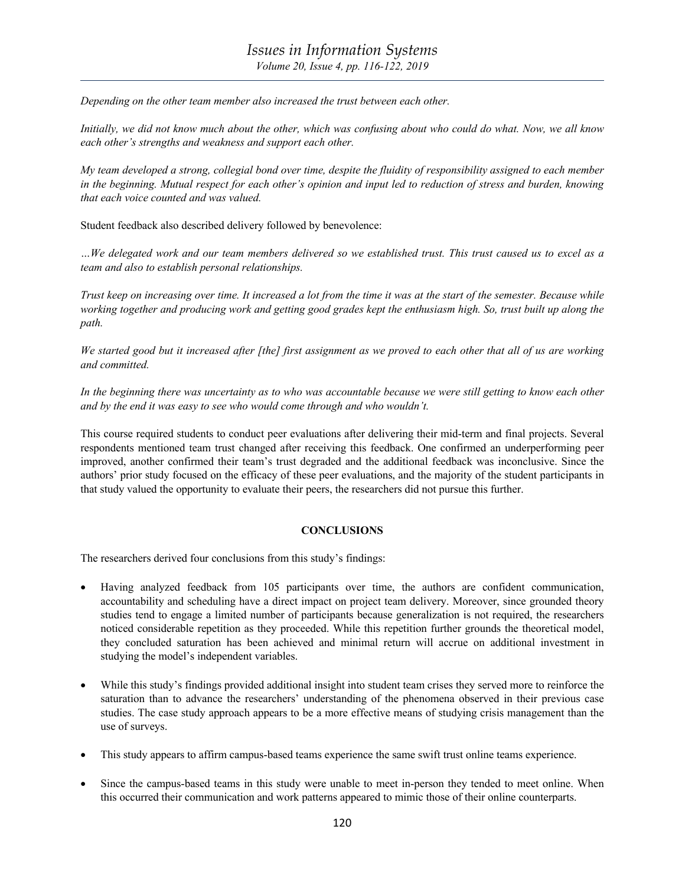*Depending on the other team member also increased the trust between each other.*

*Initially, we did not know much about the other, which was confusing about who could do what. Now, we all know each other's strengths and weakness and support each other.*

*My team developed a strong, collegial bond over time, despite the fluidity of responsibility assigned to each member in the beginning. Mutual respect for each other's opinion and input led to reduction of stress and burden, knowing that each voice counted and was valued.*

Student feedback also described delivery followed by benevolence:

*…We delegated work and our team members delivered so we established trust. This trust caused us to excel as a team and also to establish personal relationships.*

*Trust keep on increasing over time. It increased a lot from the time it was at the start of the semester. Because while working together and producing work and getting good grades kept the enthusiasm high. So, trust built up along the path.*

*We started good but it increased after [the] first assignment as we proved to each other that all of us are working and committed.*

In the beginning there was uncertainty as to who was accountable because we were still getting to know each other *and by the end it was easy to see who would come through and who wouldn't.* 

This course required students to conduct peer evaluations after delivering their mid-term and final projects. Several respondents mentioned team trust changed after receiving this feedback. One confirmed an underperforming peer improved, another confirmed their team's trust degraded and the additional feedback was inconclusive. Since the authors' prior study focused on the efficacy of these peer evaluations, and the majority of the student participants in that study valued the opportunity to evaluate their peers, the researchers did not pursue this further.

## **CONCLUSIONS**

The researchers derived four conclusions from this study's findings:

- Having analyzed feedback from 105 participants over time, the authors are confident communication, accountability and scheduling have a direct impact on project team delivery. Moreover, since grounded theory studies tend to engage a limited number of participants because generalization is not required, the researchers noticed considerable repetition as they proceeded. While this repetition further grounds the theoretical model, they concluded saturation has been achieved and minimal return will accrue on additional investment in studying the model's independent variables.
- While this study's findings provided additional insight into student team crises they served more to reinforce the saturation than to advance the researchers' understanding of the phenomena observed in their previous case studies. The case study approach appears to be a more effective means of studying crisis management than the use of surveys.
- This study appears to affirm campus-based teams experience the same swift trust online teams experience.
- Since the campus-based teams in this study were unable to meet in-person they tended to meet online. When this occurred their communication and work patterns appeared to mimic those of their online counterparts.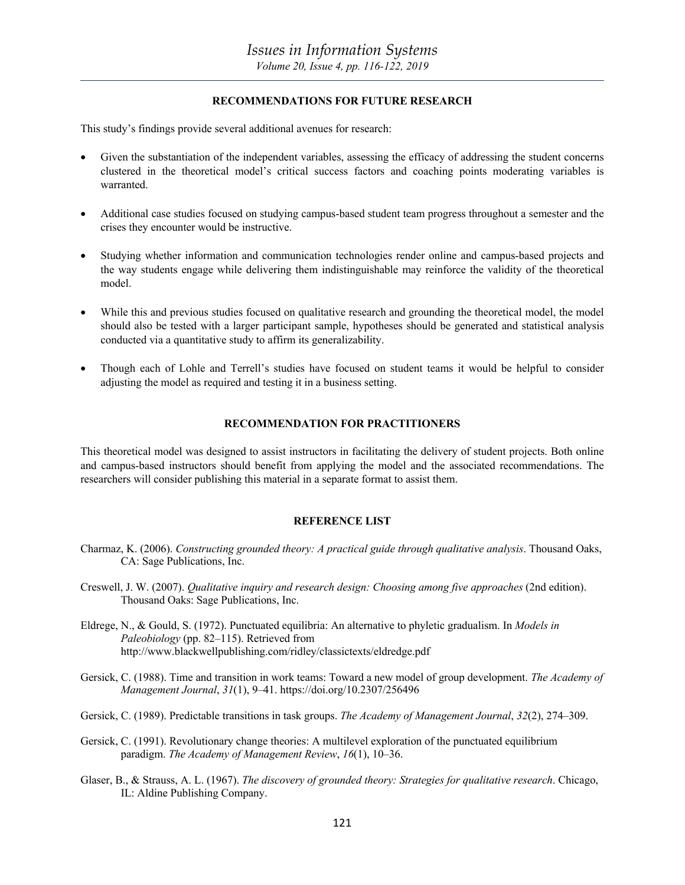#### **RECOMMENDATIONS FOR FUTURE RESEARCH**

This study's findings provide several additional avenues for research:

- Given the substantiation of the independent variables, assessing the efficacy of addressing the student concerns clustered in the theoretical model's critical success factors and coaching points moderating variables is warranted.
- Additional case studies focused on studying campus-based student team progress throughout a semester and the crises they encounter would be instructive.
- Studying whether information and communication technologies render online and campus-based projects and the way students engage while delivering them indistinguishable may reinforce the validity of the theoretical model.
- While this and previous studies focused on qualitative research and grounding the theoretical model, the model should also be tested with a larger participant sample, hypotheses should be generated and statistical analysis conducted via a quantitative study to affirm its generalizability.
- Though each of Lohle and Terrell's studies have focused on student teams it would be helpful to consider adjusting the model as required and testing it in a business setting.

### **RECOMMENDATION FOR PRACTITIONERS**

This theoretical model was designed to assist instructors in facilitating the delivery of student projects. Both online and campus-based instructors should benefit from applying the model and the associated recommendations. The researchers will consider publishing this material in a separate format to assist them.

#### **REFERENCE LIST**

- Charmaz, K. (2006). *Constructing grounded theory: A practical guide through qualitative analysis*. Thousand Oaks, CA: Sage Publications, Inc.
- Creswell, J. W. (2007). *Qualitative inquiry and research design: Choosing among five approaches* (2nd edition). Thousand Oaks: Sage Publications, Inc.
- Eldrege, N., & Gould, S. (1972). Punctuated equilibria: An alternative to phyletic gradualism. In *Models in Paleobiology* (pp. 82–115). Retrieved from http://www.blackwellpublishing.com/ridley/classictexts/eldredge.pdf
- Gersick, C. (1988). Time and transition in work teams: Toward a new model of group development. *The Academy of Management Journal*, *31*(1), 9–41. https://doi.org/10.2307/256496
- Gersick, C. (1989). Predictable transitions in task groups. *The Academy of Management Journal*, *32*(2), 274–309.
- Gersick, C. (1991). Revolutionary change theories: A multilevel exploration of the punctuated equilibrium paradigm. *The Academy of Management Review*, *16*(1), 10–36.
- Glaser, B., & Strauss, A. L. (1967). *The discovery of grounded theory: Strategies for qualitative research*. Chicago, IL: Aldine Publishing Company.